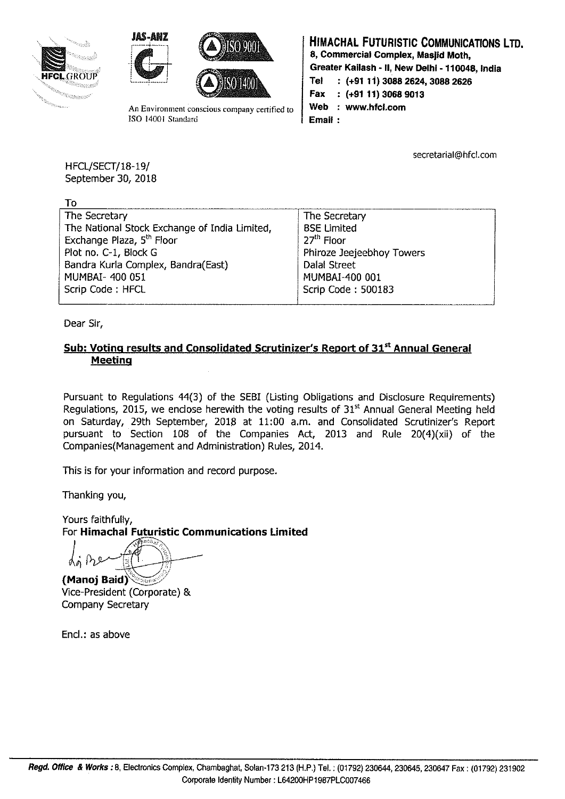





**An Environment conscious company certified to**  ISO 14001 Standard

# **HIMACHAL FUTURISTIC COMMUNICATIONS LTD.**

**8, Commercial Complex, Masjid Moth,** 

**Greater Kailash • II, New Delhi - 110048, India** 

**Tel : (+9111) 3088 2624, 3088 2626** 

**Fax : (+9111)30689013** 

**Web : www.hfcl.com** 

**Email** :

secretarial@hfcl.com

HFCL/SECT/18-19/ September 30, 2018

| To                                            |                           |
|-----------------------------------------------|---------------------------|
| The Secretary                                 | The Secretary             |
| The National Stock Exchange of India Limited, | <b>BSE Limited</b>        |
| Exchange Plaza, 5 <sup>th</sup> Floor         | $27th$ Floor              |
| Plot no. C-1, Block G                         | Phiroze Jeejeebhoy Towers |
| Bandra Kurla Complex, Bandra(East)            | <b>Dalal Street</b>       |
| MUMBAI- 400 051                               | MUMBAI-400 001            |
| Scrip Code: HFCL                              | Scrip Code: 500183        |
|                                               |                           |

Dear Sir,

# **Sub: Voting results and Consolidated Scrutinizer's Report of 31st Annual General Meeting**

Pursuant to Regulations 44(3) of the SEBI (Listing Obligations and Disclosure Requirements) Regulations, 2015, we enclose herewith the voting results of  $31<sup>st</sup>$  Annual General Meeting held on Saturday, 29th September, 2018 at 11:00 a.m. and Consolidated Scrutinizer's Report pursuant to Section 108 of the Companies Act, 2013 and Rule 20(4)(xii) of the Companies(Management and Administration) Rules, 2014.

This is for your information and record purpose.

Thanking you,

Yours faithfully, For **Himachal Futuristic Communications Limited** 

 $d\eta$   $\rho$   $\mathbb{F}$   $($   $\frac{1}{2}$ 

**⁄ ‱سن∛ Baid)** Vice-President (Corporate) & Company Secretary

Encl.: as above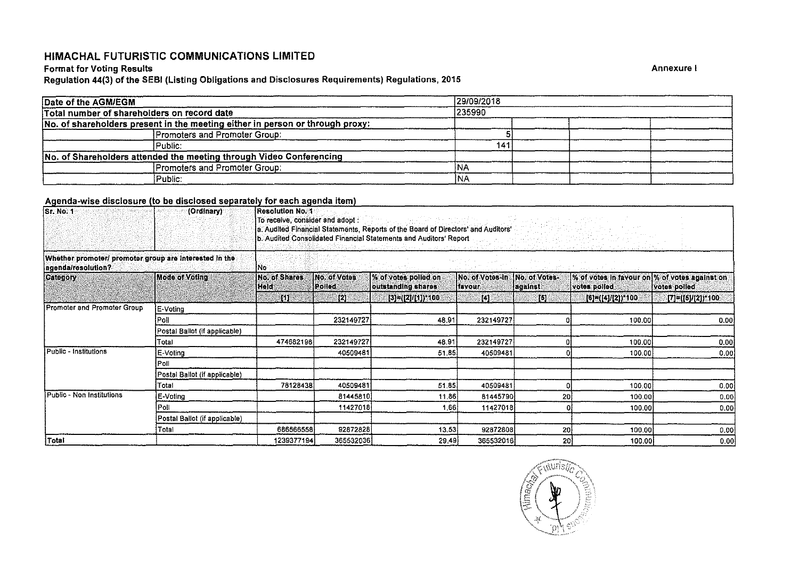# **HIMACHAL FUTURISTIC COMMUNICATIONS LIMITED**

#### Format for Voting Results Annexure I

#### Regulation 44(3) of the SEBI (Listing Obligations and Disclosures Requirements) Regulations, 2015

| Date of the AGM/EGM                                                           | 29/09/2018<br>235990 |  |  |  |  |  |
|-------------------------------------------------------------------------------|----------------------|--|--|--|--|--|
| Total number of shareholders on record date                                   |                      |  |  |  |  |  |
| No. of shareholders present in the meeting either in person or through proxy: |                      |  |  |  |  |  |
| Promoters and Promoter Group:                                                 |                      |  |  |  |  |  |
| Public:                                                                       | 141                  |  |  |  |  |  |
| No. of Shareholders attended the meeting through Video Conferencing           |                      |  |  |  |  |  |
| Promoters and Promoter Group:                                                 | INA                  |  |  |  |  |  |
| Public:                                                                       | 'NA                  |  |  |  |  |  |

#### Agenda-wise disclosure (to be disclosed separately for each agenda item)

| $\sim$ $\sim$ $\sim$ $\sim$ $\sim$<br><b>Sr. No. 1</b>                       | (Ordinary)                    | Resolution No. 1<br>To receive, consider and adopt:<br>医水杨酸 医单骨动脉<br>a. Audited Financial Statements, Reports of the Board of Directors' and Auditors'<br>b. Audited Consolidated Financial Statements and Auditors' Report |                        |                                            |                                   |                                  |                                                               |                       |  |  |  |  |
|------------------------------------------------------------------------------|-------------------------------|-----------------------------------------------------------------------------------------------------------------------------------------------------------------------------------------------------------------------------|------------------------|--------------------------------------------|-----------------------------------|----------------------------------|---------------------------------------------------------------|-----------------------|--|--|--|--|
| Whether promoter/ promoter group are interested in the<br>agenda/resolution? |                               | INo <sup>-</sup>                                                                                                                                                                                                            |                        |                                            |                                   |                                  |                                                               |                       |  |  |  |  |
| <b>Category</b>                                                              | <b>Mode of Voting</b>         | No. of Shares<br><b>Held</b>                                                                                                                                                                                                | No. of Votes<br>Polled | % of votes polled on<br>outstanding shares | No. of Votes-in<br><b>Itavour</b> | INo. of Votes-<br><b>against</b> | % of votes in favour on % of votes against on<br>votes polled | votes polled          |  |  |  |  |
|                                                                              |                               | ЮK                                                                                                                                                                                                                          | [2]                    | $[3] = ([2]/[1])$ *100                     | -141                              | $  5 \rangle$                    | $[6] = ([4]/[2]) * 100$                                       | $[7] = ([5]/[2])*100$ |  |  |  |  |
| Promoter and Promoter Group                                                  | E-Voting                      |                                                                                                                                                                                                                             |                        |                                            |                                   |                                  |                                                               |                       |  |  |  |  |
|                                                                              | Poll                          |                                                                                                                                                                                                                             | 232149727              | 48.91                                      | 232149727                         |                                  | 100.00                                                        | 0.00                  |  |  |  |  |
|                                                                              | Postal Ballot (if applicable) |                                                                                                                                                                                                                             |                        |                                            |                                   |                                  |                                                               |                       |  |  |  |  |
|                                                                              | Total                         | 474682198                                                                                                                                                                                                                   | 232149727              | 48 91                                      | 232149727                         |                                  | 100.00                                                        | 0.00                  |  |  |  |  |
| Public - Institutions                                                        | E-Voting                      |                                                                                                                                                                                                                             | 40509481               | 51.85                                      | 40509481                          |                                  | 100.00                                                        | 0.001                 |  |  |  |  |
|                                                                              | Poll                          |                                                                                                                                                                                                                             |                        |                                            |                                   |                                  |                                                               |                       |  |  |  |  |
|                                                                              | Postal Ballot (if applicable) |                                                                                                                                                                                                                             |                        |                                            |                                   |                                  |                                                               |                       |  |  |  |  |
|                                                                              | Total                         | 78128438                                                                                                                                                                                                                    | 40509481               | 51 85                                      | 40509481                          |                                  | 100.00                                                        | 0.00                  |  |  |  |  |
| l Public - Non Institutions                                                  | E-Voting                      |                                                                                                                                                                                                                             | 81445810               | 11.86                                      | 81445790                          | 20                               | 100.00                                                        | 0.00                  |  |  |  |  |
|                                                                              | Poll                          |                                                                                                                                                                                                                             | 11427018               | 1.66!                                      | 11427018                          |                                  | 100.00                                                        | 0.00                  |  |  |  |  |
|                                                                              | Postal Ballot (if applicable) |                                                                                                                                                                                                                             |                        |                                            |                                   |                                  |                                                               |                       |  |  |  |  |
|                                                                              | Total                         | 686566558                                                                                                                                                                                                                   | 92872828               | 13.53                                      | 92872808                          | 20                               | 100.00                                                        | 0.00                  |  |  |  |  |
| ∣Total∶                                                                      |                               | 1239377194                                                                                                                                                                                                                  | 365532036              | 29.49                                      | 365532016                         | 20 <sup>1</sup>                  | 100.00                                                        | 0.00                  |  |  |  |  |

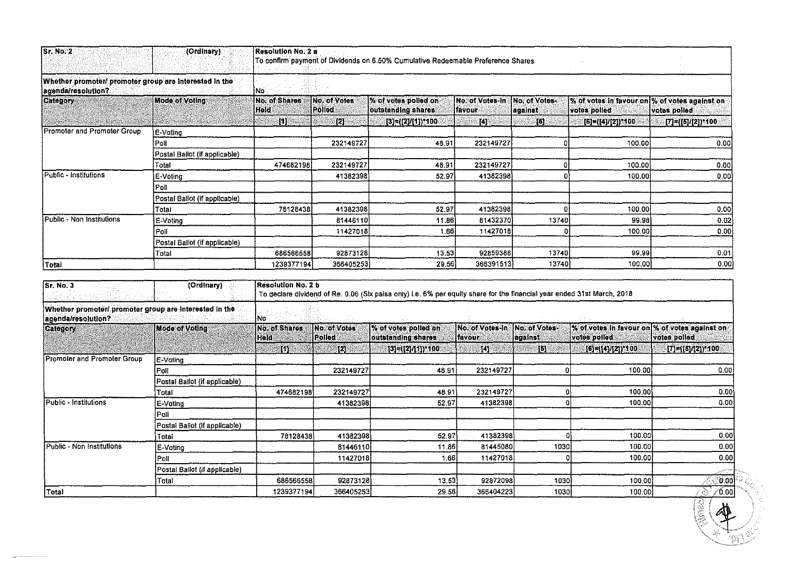| <b>Sr. No. 2</b>                                                             | (Ordinary);                   |                       | Resolution No. 2 a<br>To confirm payment of Dividends on 6.50% Cumulative Redeemable Preference Shares |                                             |                                          |         |                                                               |                             |  |  |  |
|------------------------------------------------------------------------------|-------------------------------|-----------------------|--------------------------------------------------------------------------------------------------------|---------------------------------------------|------------------------------------------|---------|---------------------------------------------------------------|-----------------------------|--|--|--|
| Whether promoter/ promoter group are interested in the<br>agenda/resolution? |                               | No                    |                                                                                                        |                                             |                                          |         |                                                               |                             |  |  |  |
| Category                                                                     | Mode of Voting                | No. of Shares<br>Held | <b>No. of Votes</b><br><b>Polled</b>                                                                   | 1% of votes polled on<br>outstanding shares | No, of Votes-In No, of Votes-<br> favour | against | % of votes in favour on % of votes against on<br>votes polled | votes polled                |  |  |  |
|                                                                              |                               | $ 11\rangle$          | $[2]$                                                                                                  | $[3] = ([2]/[1])$ *100                      | (4)                                      | [6]     | [6]=([4]/[2])*100                                             | $[7] = ([5]/[2]) \cdot 100$ |  |  |  |
| Promoter and Promoter Group                                                  | E-Voting                      |                       |                                                                                                        |                                             |                                          |         |                                                               |                             |  |  |  |
|                                                                              | Poll                          |                       | 232149727                                                                                              | 48.91                                       | 232149727                                |         | 100.00                                                        | 0.00                        |  |  |  |
|                                                                              | Postal Ballot (if applicable) |                       |                                                                                                        |                                             |                                          |         |                                                               |                             |  |  |  |
|                                                                              | Total                         | 474682198             | 232149727                                                                                              | 48.91                                       | 232149727                                |         | 100.00                                                        | 0.00                        |  |  |  |
| Public - Institutions                                                        | <b>E-Voting</b>               |                       | 41382398                                                                                               | 52.97                                       | 41382398                                 |         | 100.00)                                                       | 0.00                        |  |  |  |
|                                                                              | Poll                          |                       |                                                                                                        |                                             |                                          |         |                                                               |                             |  |  |  |
|                                                                              | Postal Ballot (if applicable) |                       |                                                                                                        |                                             |                                          |         |                                                               |                             |  |  |  |
|                                                                              | Total                         | 78128438              | 41382398                                                                                               | 52.97                                       | 41382398                                 |         | 100.00                                                        | 0.00                        |  |  |  |
| Public - Non Institutions                                                    | E-Voting                      |                       | 81446110                                                                                               | 11.86                                       | 81432370                                 | 13740   | 99.98                                                         | 0.02                        |  |  |  |
|                                                                              | Poll                          |                       | 11427018                                                                                               | 1.66                                        | 11427018                                 |         | 100.00                                                        | 0.00                        |  |  |  |
|                                                                              | Postal Ballot (if applicable) |                       |                                                                                                        |                                             |                                          |         |                                                               |                             |  |  |  |
|                                                                              | Total                         | 686566558             | 92873128                                                                                               | 13.53                                       | 92859388                                 | 13740   | 99.99                                                         | 0.01                        |  |  |  |
| Total                                                                        |                               | 1239377194            | 366405253                                                                                              | 29.56                                       | 366391513                                | 13740   | 100.00                                                        | 0.00                        |  |  |  |

| Sr. No. 3                                                                    | (Ordinary)                    |                              | Resolution No. 2 b<br>To declare dividend of Re. 0.06 (Six paisa only) i.e. 6% per equity share for the financial year ended 31st March, 2018 |                                            |                                                 |                                 |                                                                           |                             |  |  |  |
|------------------------------------------------------------------------------|-------------------------------|------------------------------|-----------------------------------------------------------------------------------------------------------------------------------------------|--------------------------------------------|-------------------------------------------------|---------------------------------|---------------------------------------------------------------------------|-----------------------------|--|--|--|
| Whether promoter/ promoter group are interested in the<br>agenda/resolution? |                               | ∤No<br>COMPUT<br>se poste co |                                                                                                                                               |                                            |                                                 |                                 |                                                                           |                             |  |  |  |
| <b>Category</b>                                                              | <b>Mode of Voting</b>         | No. of Shares<br><b>Held</b> | <b>No. of Votes</b><br>Polled                                                                                                                 | % of votes polled on<br>outstanding shares | <b>No. of Votes-In</b><br><i><b>Ifavour</b></i> | No. of Votes-<br><b>against</b> | $ \%$ of votes in favour on $ \%$ of votes against on $ $<br>votes polled | votes polled                |  |  |  |
|                                                                              |                               | IO) X                        | $\mathbb{Z}$                                                                                                                                  | $[3] = [2]/[1])^*100$                      | ្ស វា                                           | ្យទង្វ្រ                        | $[6] = [14] / [2]$ * 100                                                  | $[7] = ([5]/[2]) \cdot 100$ |  |  |  |
| Promoter and Promoter Group                                                  | E-Voting                      |                              |                                                                                                                                               |                                            |                                                 |                                 |                                                                           |                             |  |  |  |
| Poll                                                                         |                               |                              | 232149727                                                                                                                                     | 48.91                                      | 232149727                                       |                                 | 100.00                                                                    | 0.00                        |  |  |  |
|                                                                              | Postal Ballot (if applicable) |                              |                                                                                                                                               |                                            |                                                 |                                 |                                                                           |                             |  |  |  |
| Total                                                                        |                               | 474682198                    | 232149727                                                                                                                                     | 48.91                                      | 232149727                                       |                                 | 100.00                                                                    | 0.00                        |  |  |  |
| Public - Institutions                                                        | E-Voting                      |                              | 41382398                                                                                                                                      | 52.97                                      | 41382398                                        |                                 | 100.00                                                                    | 0.00                        |  |  |  |
| Poll                                                                         |                               |                              |                                                                                                                                               |                                            |                                                 |                                 |                                                                           |                             |  |  |  |
|                                                                              | Postal Ballot (if applicable) |                              |                                                                                                                                               |                                            |                                                 |                                 |                                                                           |                             |  |  |  |
| Total                                                                        |                               | 78128438                     | 41382398                                                                                                                                      | 52.97                                      | 41382398                                        |                                 | 100.00                                                                    | 0.00                        |  |  |  |
| Public - Non Institutions                                                    | E-Voting                      |                              | 81446110                                                                                                                                      | 11.86                                      | 81445080                                        | 1030                            | 100.00                                                                    | 0.00                        |  |  |  |
| Poll                                                                         |                               |                              | 11427018                                                                                                                                      | 166                                        | 11427018                                        |                                 | 100.00                                                                    | 0.00                        |  |  |  |
|                                                                              | Postal Ballot (if applicable) |                              |                                                                                                                                               |                                            |                                                 |                                 |                                                                           |                             |  |  |  |
| Total                                                                        |                               | 686566558                    | 92873128                                                                                                                                      | 13.53                                      | 92872098                                        | 1030                            | 100.00                                                                    | 0.00                        |  |  |  |
|                                                                              |                               | 1239377194                   | 366405253                                                                                                                                     | 29.56                                      | 366404223                                       | 1030                            | 100.00                                                                    | ″0.00∣<br>- 49              |  |  |  |
|                                                                              |                               |                              |                                                                                                                                               |                                            |                                                 |                                 |                                                                           | <b>Anao</b>                 |  |  |  |

 $\label{eq:1} \begin{split} \mathcal{L}_{\text{max}}(t) &\text{is a non-zero root of } \mathcal{L}(t) \text{ and } t>0. \end{split}$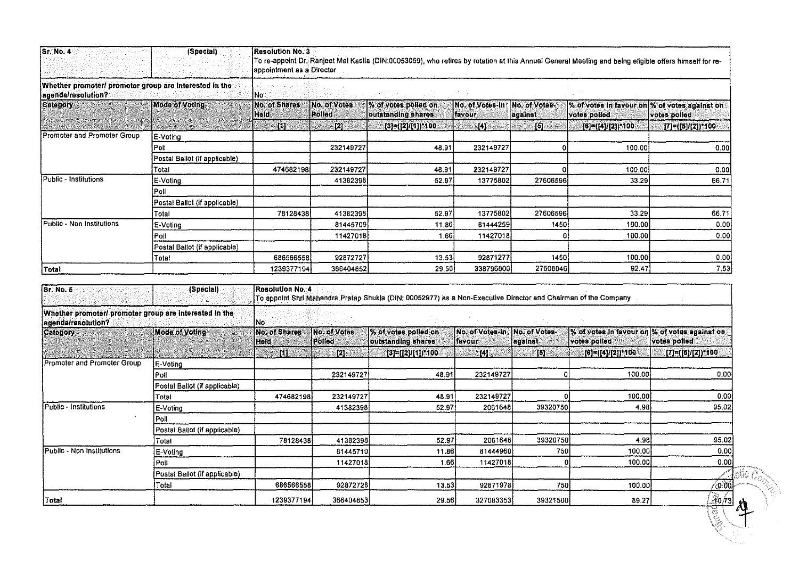| Sr. No. 4<br>uta terbata dego o do guerre                                    | (Special)                     |                              | <b>Resolution No. 3</b><br>To re-appoint Dr. Ranjeet Mal Kastia (DIN:00053059), who retires by rotation at this Annual General Meeting and being eligible offers himself for re-<br>appointment as a Director |                                             |                                                         |                 |                                                                           |                              |  |  |  |  |
|------------------------------------------------------------------------------|-------------------------------|------------------------------|---------------------------------------------------------------------------------------------------------------------------------------------------------------------------------------------------------------|---------------------------------------------|---------------------------------------------------------|-----------------|---------------------------------------------------------------------------|------------------------------|--|--|--|--|
| Whether promoter/ promoter group are interested in the<br>agenda/resolution? |                               | lNo.                         |                                                                                                                                                                                                               |                                             |                                                         |                 |                                                                           |                              |  |  |  |  |
| <b>Category</b>                                                              | <b>Mode of Voting</b>         | No. of Shares<br><b>Held</b> | <b>No. of Votes</b><br><b>Polled</b>                                                                                                                                                                          | 1% of votes polled on<br>outstanding shares | INo. of Votes-In INo. of Votes-<br><i><b>favour</b></i> | against         | $ \%$ of votes in favour on $\%$ of votes against on $\%$<br>votes polled | votes polled                 |  |  |  |  |
|                                                                              |                               | ЮŖ                           | 12H                                                                                                                                                                                                           | $[3] = [7] / [1]$ $[100]$                   | $\begin{bmatrix} 4 \end{bmatrix}$                       | $\vert 6 \vert$ | [6]=([4]/[2])*100                                                         | $[7] = ([5]/[2]) \times 100$ |  |  |  |  |
| Promoter and Promoter Group                                                  | E-Voting                      |                              |                                                                                                                                                                                                               |                                             |                                                         |                 |                                                                           |                              |  |  |  |  |
|                                                                              | Poll                          |                              | 232149727                                                                                                                                                                                                     | 48.91                                       | 232149727                                               |                 | 100.00                                                                    | 0.00                         |  |  |  |  |
|                                                                              | Postal Ballot (if applicable) |                              |                                                                                                                                                                                                               |                                             |                                                         |                 |                                                                           |                              |  |  |  |  |
|                                                                              | Total                         | 474682198                    | 232149727                                                                                                                                                                                                     | 48.91                                       | 232149727                                               |                 | 100.00                                                                    | 0.00                         |  |  |  |  |
| Public - Institutions                                                        | E-Voting                      |                              | 41382398                                                                                                                                                                                                      | 52.97                                       | 13775802                                                | 27606596        | 33.29                                                                     | 66.71                        |  |  |  |  |
|                                                                              | Pol                           |                              |                                                                                                                                                                                                               |                                             |                                                         |                 |                                                                           |                              |  |  |  |  |
|                                                                              | Postal Ballot (if applicable) |                              |                                                                                                                                                                                                               |                                             |                                                         |                 |                                                                           |                              |  |  |  |  |
|                                                                              | Total                         | 78128438                     | 41382398                                                                                                                                                                                                      | 52.97                                       | 13775802                                                | 27606596        | 33.29                                                                     | 66.71                        |  |  |  |  |
| Public - Non Institutions                                                    | (E-Voting                     |                              | 81445709                                                                                                                                                                                                      | 11.86                                       | 81444259                                                | 1450            | 100.00                                                                    | 0.00                         |  |  |  |  |
|                                                                              | Poll                          |                              | 11427018                                                                                                                                                                                                      | 1.66                                        | 11427018                                                |                 | 100.00                                                                    | 0.00                         |  |  |  |  |
|                                                                              | Postal Ballot (if applicable) |                              |                                                                                                                                                                                                               |                                             |                                                         |                 |                                                                           |                              |  |  |  |  |
|                                                                              | Total                         | 686566558                    | 92872727                                                                                                                                                                                                      | 13.53                                       | 92871277                                                | 1450            | 100.00                                                                    | 0.00                         |  |  |  |  |
| Total                                                                        |                               | 1239377194                   | 366404852                                                                                                                                                                                                     | 29.56                                       | 338796806                                               | 27608046        | 92.47                                                                     | 7.53                         |  |  |  |  |

| Sr. No. 5                                                                    | (Special)                     | Resolution No. 4      |                        | To appoint Shri Mahendra Pratap Shukla (DIN: 00052977) as a Non-Executive Director and Chairman of the Company |                                  |                                        |                                                               |                        |  |  |  |
|------------------------------------------------------------------------------|-------------------------------|-----------------------|------------------------|----------------------------------------------------------------------------------------------------------------|----------------------------------|----------------------------------------|---------------------------------------------------------------|------------------------|--|--|--|
| Whether promoter/ promoter group are interested in the<br>agenda/resolution? |                               | İNo.                  |                        |                                                                                                                |                                  |                                        |                                                               |                        |  |  |  |
| Category                                                                     | Mode of Vollng                | No. of Shares<br>Held | No. of Votes<br>Polled | 1% of votes polled on<br>outstanding shares                                                                    | No. of Votes-in<br><i>lavour</i> | <b>No. of Votes-</b><br><i>against</i> | % of votes in favour on % of votes against on<br>votes polled | votes polled           |  |  |  |
|                                                                              |                               | IU).                  | $\left[ 2 \right]$     | $[3] = ([2]/[1])$ *100                                                                                         | [4]                              | [5]                                    | $[6] = ([4]/[2])$ *100                                        | $[7] = ([5]/[2])$ *100 |  |  |  |
| Promoter and Promoter Group                                                  | E-Voting                      |                       |                        |                                                                                                                |                                  |                                        |                                                               |                        |  |  |  |
|                                                                              | Poll                          |                       | 232149727              | 48.91                                                                                                          | 232149727                        |                                        | 100.00                                                        | 0.00                   |  |  |  |
|                                                                              | Postal Ballot (if applicable) |                       |                        |                                                                                                                |                                  |                                        |                                                               |                        |  |  |  |
|                                                                              | Total                         | 474682198             | 232149727              | 48.91                                                                                                          | 232149727                        |                                        | 100.00                                                        | 0.00                   |  |  |  |
| Public - Institutions                                                        | E-Voting                      |                       | 41382398               | 52.97                                                                                                          | 2061648                          | 39320750                               | 4.98                                                          | 95.02                  |  |  |  |
|                                                                              | Poll                          |                       |                        |                                                                                                                |                                  |                                        |                                                               |                        |  |  |  |
|                                                                              | Postal Ballot (if applicable) |                       |                        |                                                                                                                |                                  |                                        |                                                               |                        |  |  |  |
|                                                                              | Total                         | 78128438              | 41382398               | 52.97                                                                                                          | 2061648                          | 39320750                               | 4.98                                                          | 95.02                  |  |  |  |
| Public - Non Institutions                                                    | E-Voting                      |                       | 81445710               | 11.86                                                                                                          | 81444960                         | 750                                    | 100.00                                                        | 0.00                   |  |  |  |
|                                                                              | $ $ Poll                      |                       | 11427018               | 1.66                                                                                                           | 11427018                         |                                        | 100.00                                                        | 0.00                   |  |  |  |
|                                                                              | Postal Ballot (if applicable) |                       |                        |                                                                                                                |                                  |                                        |                                                               | $45\%$ $C_{\odot}$     |  |  |  |
|                                                                              | Total                         | 686566558             | 92872728               | 13.53                                                                                                          | 92871978                         | 750                                    | 100.00                                                        | $-0.00$                |  |  |  |
| Total                                                                        |                               | 1239377194            | 366404853              | 29.56                                                                                                          | 327083353                        | 39321500                               | 89.27                                                         | $\mathbb{R}$ $(n_3)$   |  |  |  |
|                                                                              |                               |                       |                        |                                                                                                                |                                  |                                        |                                                               | ग्ह्य<br>इक्           |  |  |  |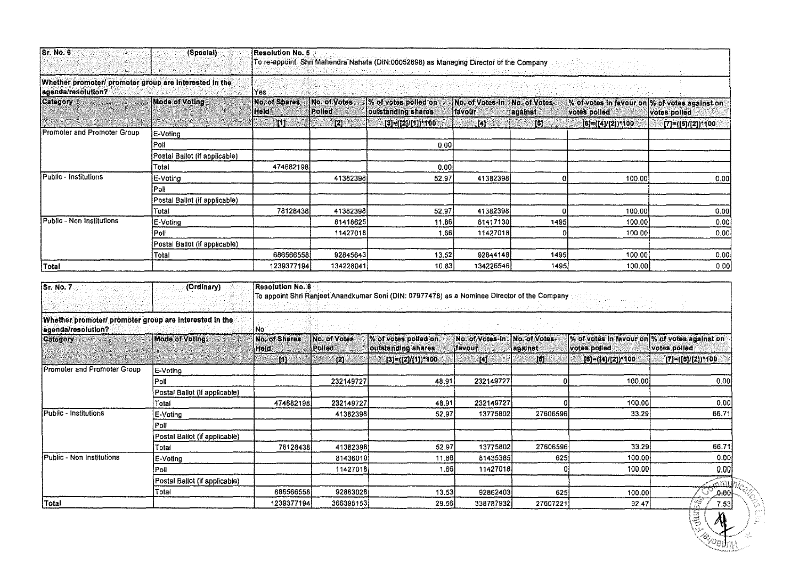| Sr. No. 6                                                                    | (Special)                     | Resolution No. 5<br>To re-appoint. Shri Mahendra Nahata (DIN:00052898) as Managing Director of the Company<br>a Sabel Anggorya<br>an a sa taisan sa taon ang ang ang ang sa ang taig ang magayong |                                |                                            |                                                        |         |                                                               |                        |  |  |  |
|------------------------------------------------------------------------------|-------------------------------|---------------------------------------------------------------------------------------------------------------------------------------------------------------------------------------------------|--------------------------------|--------------------------------------------|--------------------------------------------------------|---------|---------------------------------------------------------------|------------------------|--|--|--|
| Whether promoter/ promoter group are interested in the<br>agenda/resolution? |                               | kato mika Armitritiko eskiloaren lir<br>Yes <sup>®</sup>                                                                                                                                          |                                |                                            |                                                        |         |                                                               |                        |  |  |  |
| <b>Category</b>                                                              | <b>Mode of Voting</b>         | No. of Shares<br>Held                                                                                                                                                                             | INo. of Votes<br><b>Polled</b> | % of votes polled on<br>outstanding shares | No. of Votes-in Ho. of Votes-<br><i><b>Ifavour</b></i> | against | % of votes in favour on % of votes against on<br>votes polled | votes polled           |  |  |  |
|                                                                              |                               | 和信                                                                                                                                                                                                | 12)                            | $[3] = ([2]/[1])$ 100                      | (4) i                                                  | b       | [6]=([4]/[2])*100                                             | $[7] = ([6]/[2])^*100$ |  |  |  |
| Promoter and Promoter Group                                                  | E-Voting                      |                                                                                                                                                                                                   |                                |                                            |                                                        |         |                                                               |                        |  |  |  |
|                                                                              | Poll                          |                                                                                                                                                                                                   |                                | 0.00                                       |                                                        |         |                                                               |                        |  |  |  |
|                                                                              | Postal Ballot (if applicable) |                                                                                                                                                                                                   |                                |                                            |                                                        |         |                                                               |                        |  |  |  |
|                                                                              | Total                         | 474682198                                                                                                                                                                                         |                                | 0.00                                       |                                                        |         |                                                               |                        |  |  |  |
| Public - Institutions                                                        | E-Voting                      |                                                                                                                                                                                                   | 41382398                       | 52.97                                      | 41382398                                               |         | 100.00                                                        | 0.00                   |  |  |  |
|                                                                              | Poll                          |                                                                                                                                                                                                   |                                |                                            |                                                        |         |                                                               |                        |  |  |  |
|                                                                              | Postal Ballot (if applicable) |                                                                                                                                                                                                   |                                |                                            |                                                        |         |                                                               |                        |  |  |  |
|                                                                              | Total                         | 78128438                                                                                                                                                                                          | 41382398                       | 52.97                                      | 41382398                                               |         | 100.00                                                        | 0.001                  |  |  |  |
| Public - Non Institutions                                                    | E-Voting                      |                                                                                                                                                                                                   | 81418625                       | 11,86                                      | 81417130                                               | 1495    | 100.00                                                        | 0.00                   |  |  |  |
|                                                                              | Poll                          |                                                                                                                                                                                                   | 11427018                       | 1.66                                       | 11427018                                               |         | 100.00                                                        | 0.00                   |  |  |  |
|                                                                              | Postal Ballot (if applicable) |                                                                                                                                                                                                   |                                |                                            |                                                        |         |                                                               |                        |  |  |  |
|                                                                              | Total                         | 686566558                                                                                                                                                                                         | 92845643                       | 13.52                                      | 92844148                                               | 1495    | 100.00                                                        | 0.00                   |  |  |  |
| Total                                                                        |                               | 1239377194                                                                                                                                                                                        | 134228041                      | 10.83                                      | 134226546                                              | 1495    | 100.00                                                        | 0.00                   |  |  |  |

| Sr. No. 7                                                                    | (Ordinary)                    | <b>Resolution No. 6</b><br>To appoint Shri Ranjeet Anandkumar Soni (DIN: 07977478) as a Nominee Director of the Company<br>(1928) 陰謀(雄は1978) シルート・コンド オリスト・コンドルフィール ルミュート・フィール トラインサービス アイタイプ えんけつ アーチャウント |                        |                                            |                                  |                           |                                                               |                              |  |  |  |
|------------------------------------------------------------------------------|-------------------------------|------------------------------------------------------------------------------------------------------------------------------------------------------------------------------------------------------------|------------------------|--------------------------------------------|----------------------------------|---------------------------|---------------------------------------------------------------|------------------------------|--|--|--|
| Whether promoter/ promoter group are interested in the<br>agenda/resolution? |                               | No                                                                                                                                                                                                         |                        |                                            |                                  |                           |                                                               |                              |  |  |  |
| <b>Category</b>                                                              | <b>Mode of Voting</b>         | No. of Shares<br>Held                                                                                                                                                                                      | No. of Votes<br>Polled | % of votes polled on<br>outstanding shares | No. of Votes-in<br><b>Havour</b> | No. of Votes-<br>lagainst | % of votes in favour on % of votes against on<br>votes polled | votes polled                 |  |  |  |
|                                                                              |                               | $\mathbf{u}$                                                                                                                                                                                               | 21                     | $[3] = ( [2] / [1])^* 100$                 | $\left[ 4 \right]$               | 6                         | [6]=([4]/[2])*100                                             | $[7] = ([6]/[2])^*100$       |  |  |  |
| Promoter and Promoter Group                                                  | E-Voting                      |                                                                                                                                                                                                            |                        |                                            |                                  |                           |                                                               |                              |  |  |  |
|                                                                              | Poll                          |                                                                                                                                                                                                            | 232149727              | 48.91                                      | 232149727                        | o                         | 100.00                                                        | 0.00                         |  |  |  |
|                                                                              | Postal Ballot (if applicable) |                                                                                                                                                                                                            |                        |                                            |                                  |                           |                                                               |                              |  |  |  |
|                                                                              | Total                         | 474682198                                                                                                                                                                                                  | 232149727              | 48.91                                      | 232149727                        | n                         | 100,00                                                        | 0.00                         |  |  |  |
| Public - Institutions                                                        | E-Voting                      |                                                                                                                                                                                                            | 41382398               | 52.97                                      | 13775802                         | 27606596                  | 33.29                                                         | 66.71                        |  |  |  |
|                                                                              | Poli                          |                                                                                                                                                                                                            |                        |                                            |                                  |                           |                                                               |                              |  |  |  |
|                                                                              | Postal Ballot (if applicable) |                                                                                                                                                                                                            |                        |                                            |                                  |                           |                                                               |                              |  |  |  |
|                                                                              | Total                         | 78128438                                                                                                                                                                                                   | 41382398               | 52.97                                      | 13775802                         | 27606596                  | 33.29                                                         | 66.71                        |  |  |  |
| Public - Non Institutions                                                    | E-Voting                      |                                                                                                                                                                                                            | 81436010               | 11.86                                      | 81435385                         | 625                       | 100.00                                                        | 0.00                         |  |  |  |
|                                                                              | Poll                          |                                                                                                                                                                                                            | 11427018               | 1.66                                       | 11427018                         |                           | 100.00                                                        | 0.00                         |  |  |  |
|                                                                              | Postal Ballot (if applicable) |                                                                                                                                                                                                            |                        |                                            |                                  |                           |                                                               | Fermid                       |  |  |  |
|                                                                              | Total                         | 686566558                                                                                                                                                                                                  | 92863028               | 13.53                                      | 92862403                         | 625                       | 100.00                                                        | <b>MERRY</b><br>33<br>∫0.00∫ |  |  |  |
| Total                                                                        |                               | 1239377194                                                                                                                                                                                                 | 366395153              | 29.56                                      | 338787932                        | 27607221                  | 92.47                                                         | 75<br>7.53                   |  |  |  |
|                                                                              |                               |                                                                                                                                                                                                            |                        |                                            |                                  |                           |                                                               | E<br><b>Residence</b>        |  |  |  |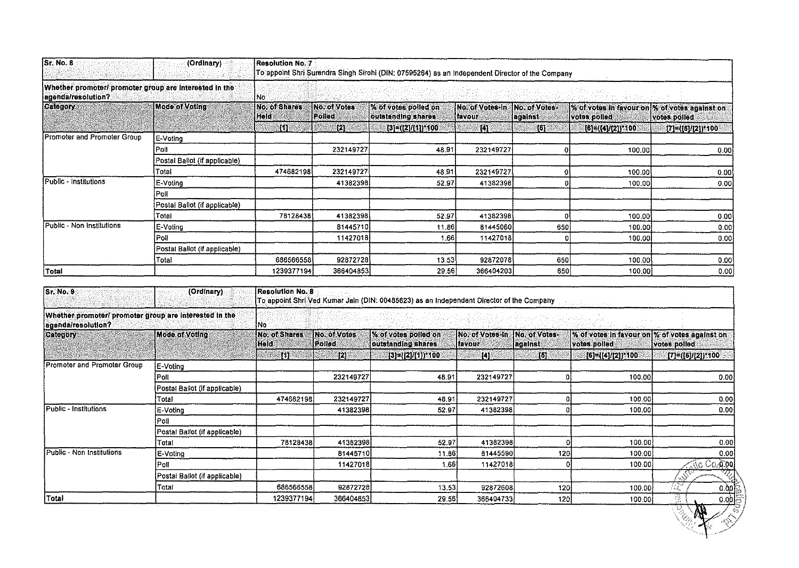| Sr. No. 8                                                                    | (Ordinary)                     |                        | <b>Resolution No. 7</b><br>To appoint Shri Surendra Singh Sirohi (DIN: 07595264) as an Independent Director of the Company |                                            |                                   |                            |                                                                |                         |  |  |  |
|------------------------------------------------------------------------------|--------------------------------|------------------------|----------------------------------------------------------------------------------------------------------------------------|--------------------------------------------|-----------------------------------|----------------------------|----------------------------------------------------------------|-------------------------|--|--|--|
| Whether promoter/ promoter group are interested in the<br>agenda/resolution? |                                | iNo:                   |                                                                                                                            |                                            |                                   |                            |                                                                |                         |  |  |  |
| <b>Category</b>                                                              | <b>Mode of Voting</b>          | No. of Shares<br>[Held | No. of Votes<br>[Polled]                                                                                                   | % of votes polled on<br>outstanding shares | No. of Votes-In<br><b>Ifavour</b> | INO. of Votes-<br>lagainst | % of votes in favour on % of votes against on<br>votes polled. | votes polled            |  |  |  |
|                                                                              |                                | $\mathbf{m}$           | $\left[2\right]$                                                                                                           | $[3] = ([2]/[1])^*100$                     | $\mathbf{W}$                      | [6]                        | $[6] = ([4]/[2])^*100$                                         | $[7] = ([6]/[2]) * 100$ |  |  |  |
| Promoter and Promoter Group                                                  | E-Voting                       |                        |                                                                                                                            |                                            |                                   |                            |                                                                |                         |  |  |  |
|                                                                              | l Poll                         |                        | 232149727                                                                                                                  | 48.91                                      | 232149727                         |                            | 100.00                                                         | 0.00                    |  |  |  |
|                                                                              | Postal Ballot (if applicable)  |                        |                                                                                                                            |                                            |                                   |                            |                                                                |                         |  |  |  |
|                                                                              | Total                          | 474682198              | 232149727                                                                                                                  | 48.91                                      | 232149727                         |                            | 100.00                                                         | 0.00                    |  |  |  |
| Public - Institutions                                                        | E-Voting                       |                        | 41382398                                                                                                                   | 52.97                                      | 41382398                          |                            | 100.00                                                         | 0.00                    |  |  |  |
|                                                                              | Poll                           |                        |                                                                                                                            |                                            |                                   |                            |                                                                |                         |  |  |  |
|                                                                              | Postal Ballot (if applicable). |                        |                                                                                                                            |                                            |                                   |                            |                                                                |                         |  |  |  |
|                                                                              | Total                          | 78128438               | 41382398                                                                                                                   | 52.97                                      | 41382398                          |                            | 100.00                                                         | 0.00                    |  |  |  |
| Public - Non Institutions                                                    | E-Voting                       |                        | 81445710                                                                                                                   | 11.86                                      | 81445060                          | 650                        | 100.00                                                         | 0.00                    |  |  |  |
|                                                                              | Poll                           |                        | 11427018                                                                                                                   | 1.66                                       | 11427018                          |                            | 100.00                                                         | 0.00                    |  |  |  |
|                                                                              | Postal Ballot (if applicable)  |                        |                                                                                                                            |                                            |                                   |                            |                                                                |                         |  |  |  |
|                                                                              | Total                          | 686566558              | 92872728                                                                                                                   | 13.53                                      | 92872078                          | 650                        | 100.00                                                         | 0.00                    |  |  |  |
| Total                                                                        |                                | 1239377194             | 366404853                                                                                                                  | 29.56                                      | 366404203                         | 650                        | 100.00                                                         | 0.00                    |  |  |  |

| Sr, No.9                                                                     | (Ordinary)                    | <b>Resolution No. 8</b>      |                                      | To appoint Shri Ved Kumar Jain (DIN: 00485623) as an Independent Director of the Company |                                          |                                        | the state of the state.                                                    |                                     |  |  |  |  |
|------------------------------------------------------------------------------|-------------------------------|------------------------------|--------------------------------------|------------------------------------------------------------------------------------------|------------------------------------------|----------------------------------------|----------------------------------------------------------------------------|-------------------------------------|--|--|--|--|
| Whether promoter/ promoter group are interested in the<br>agenda/resolution? |                               | No:                          | . 전 전 전 전 : 1000 전 전 2000 전 2000 000 |                                                                                          |                                          |                                        |                                                                            |                                     |  |  |  |  |
| Category                                                                     | <b>Mode of Voting</b>         | No. of Shares<br><b>Held</b> | No. of Votes<br>Polled               | % of votes polled on<br>outstanding shares                                               | No. of Votes-In<br><i><b>Ifavour</b></i> | <b>No. of Votes-</b><br><b>against</b> | $ \%$ of votes in favour on $ \%$ of votes against on $\,$<br>votes polled | votes polled                        |  |  |  |  |
|                                                                              |                               | ШT                           | 1ZI.                                 | $[3] = ([2]/[1])^*100$                                                                   | 14)                                      | 151.                                   | $[6] = ([4]/[2])$ 100                                                      | $[7] = ([6]/[2])^*100$              |  |  |  |  |
| Promoter and Promoter Group                                                  | E-Voting                      |                              |                                      |                                                                                          |                                          |                                        |                                                                            |                                     |  |  |  |  |
|                                                                              | lPoll.                        |                              | 232149727                            | 48.91                                                                                    | 232149727                                |                                        | 100.00                                                                     | 0.00                                |  |  |  |  |
|                                                                              | Postal Ballot (if applicable) |                              |                                      |                                                                                          |                                          |                                        |                                                                            |                                     |  |  |  |  |
|                                                                              | Total                         | 474682198                    | 232149727                            | 48.91                                                                                    | 232149727                                |                                        | 100.00                                                                     | 0.00                                |  |  |  |  |
| Public - Institutions                                                        | E-Voting                      |                              | 41382398                             | 52 97                                                                                    | 41382398                                 |                                        | 100.00                                                                     | 0.00                                |  |  |  |  |
|                                                                              | Poll                          |                              |                                      |                                                                                          |                                          |                                        |                                                                            |                                     |  |  |  |  |
|                                                                              | Postal Ballot (if applicable) |                              |                                      |                                                                                          |                                          |                                        |                                                                            |                                     |  |  |  |  |
|                                                                              | Total                         | 78128438                     | 41382398                             | 52.97                                                                                    | 41382398                                 |                                        | 100.00                                                                     | 0.00                                |  |  |  |  |
| Public - Non Institutions                                                    | E-Voting                      |                              | 81445710                             | 11 86                                                                                    | 81445590                                 | 120                                    | 100.00                                                                     | 0.00                                |  |  |  |  |
|                                                                              | Poll                          |                              | 11427018                             | 1.66                                                                                     | 11427018                                 |                                        | 100.00                                                                     | $\lesssim$ (c $\sim$ 0,0,00)        |  |  |  |  |
|                                                                              | Postal Ballot (if applicable) |                              |                                      |                                                                                          |                                          |                                        |                                                                            | ्र है।<br>जन्म                      |  |  |  |  |
|                                                                              | Total                         | 686566558                    | 92872728                             | 13.53                                                                                    | 92872608                                 | -120                                   | 100.00                                                                     | $\mathcal{L}_{\mathcal{A}}$<br>0.00 |  |  |  |  |
| Total                                                                        |                               | 1239377194                   | 366404853                            | 29.56                                                                                    | 366404733                                | 120                                    | 100.00                                                                     | [0.00]<br>Ş.                        |  |  |  |  |
|                                                                              |                               |                              |                                      |                                                                                          |                                          |                                        |                                                                            | ै                                   |  |  |  |  |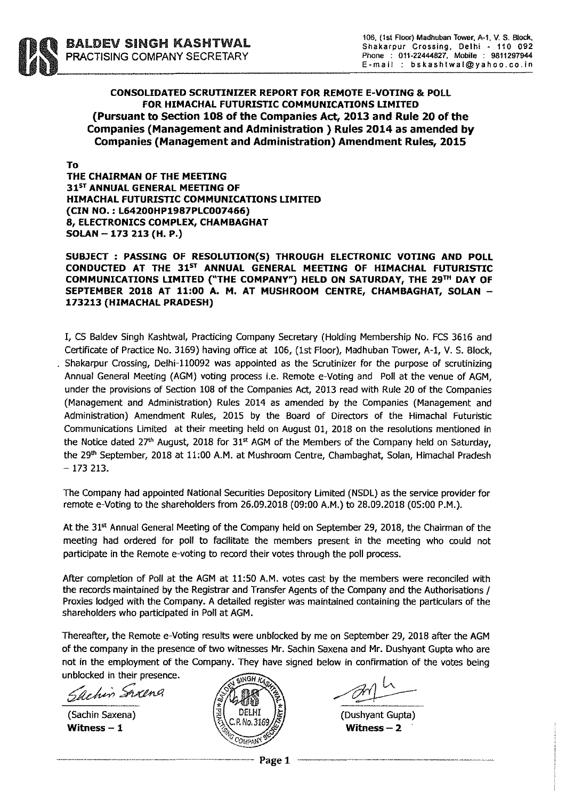

#### CONSOUDATED SCRUTINIZER REPORT FOR REMOTE E-VOTING & POLL FOR HIMACHAL FUTURISTIC COMMUNICATIONS UMITED (Pursuant to Section 108 of the Companies Act, 2013 and Rule 20 of the Companies (Management and Administration ) Rules 2014 as amended by Companies (Management and Administration) Amendment Rules, 2015

To

THE CHAIRMAN OF THE MEETING 31<sup>ST</sup> ANNUAL GENERAL MEETING OF HIMACHAL FUTURISTIC COMMUNICATIONS UMITED (CIN NO. : L64200HP1987PLC007466) 8, ELECTRONICS COMPLEX, CHAMBAGHAT SOLAN -173 213 (H. P.)

SUBJECT : PASSING OF RESOLUTION(S) THROUGH ELECTRONIC VOTING AND POLL CONDUCTED AT THE 31<sup>ST</sup> ANNUAL GENERAL MEETING OF HIMACHAL FUTURISTIC COMMUNICATIONS LIMITED ("THE COMPANY") HELD ON SATURDAY, THE 29TH DAY OF SEPTEMBER 2018 AT 11:00 A. M. AT MUSHROOM CENTRE, CHAMBAGHAT, SOLAN 173213 (HIMACHAL PRADESH)

I, CS Baldev Singh Kashtwal, Practicing Company Secretary (Holding Membership No. FCS 3616 and Certificate of Practice No. 3169) having office at 106, (1st Floor}, Madhuban Tower, A-1, V. S. Block, Shakarpur Crossing, Delhi-110092 was appointed as the Scrutinizer for the purpose of scrutinizing Annual General Meeting (AGM) voting process i.e. Remote e-Voting and Poll at the venue of AGM, under the provisions of Section 108 of the Companies Act, 2013 read with Rule 20 of the Companies (Management and Administration) Rules 2014 as amended by the Companies (Management and Administration) Amendment Rules, 2015 by the Board of Directors of the Himachal Futuristic Communications Limited at their meeting held on August 01, 2018 on the resolutions mentioned in the Notice dated 27<sup>th</sup> August, 2018 for 31<sup>st</sup> AGM of the Members of the Company held on Saturday, the 29<sup>th</sup> September, 2018 at 11:00 A.M. at Mushroom Centre, Chambaghat, Solan, Himachal Pradesh - 173 213.

The Company had appointed National Securities Depository Limited (NSDL} as the service provider for remote e-Voting to the shareholders from 26.09.2018 (09:00 A.M.) to 28.09.2018 (05:00 P.M.).

At the 31'" Annual General Meeting of the Company held on September 29, 2018, the Chairman of the meeting had ordered for poll to facilitate the members present in the meeting who could not participate in the Remote e-voting to record their votes through the poll process.

After completion of Poll at the AGM at 11:50 A.M. votes cast by the members were reconciled with the records maintained by the Registrar and Transfer Agents of the Company and the Authorisations / Proxies lodged with the Company. A detailed register was maintained containing the particulars of the shareholders who participated in Poll at AGM.

Thereafter, the Remote e-Voting results were unblocked by me on September 29, 2018 after the AGM of the company in the presence of two witnesses Mr. Sachin Saxena and Mr. Dushyant Gupta who are not in the employment of the Company. They have signed below in confirmation of the *votes* being unblocked in their presence. ~

Sachin Sixena

(Sachin Saxena)



(Dushyant Gupta)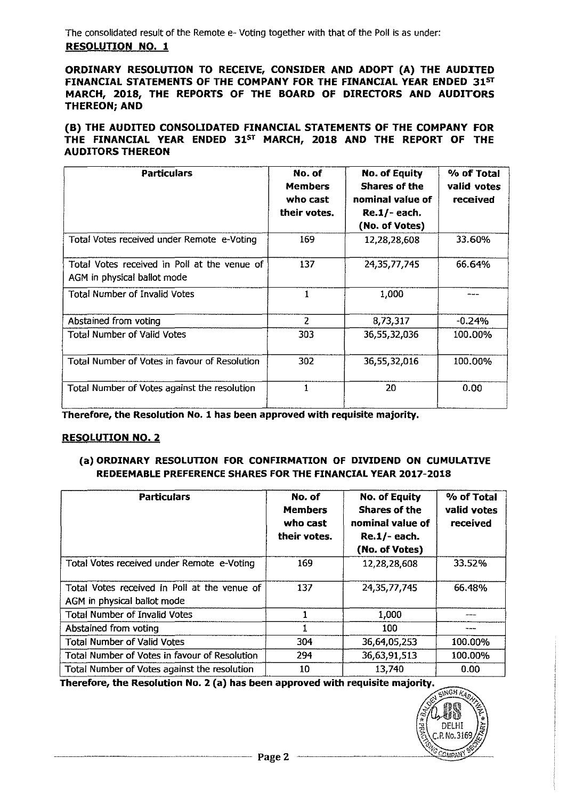The consolidated result of the Remote e- Voting together with that of the Poll is as under: RESOLUTION NO. 1

ORDINARY RESOLUTION TO RECEIVE, CONSIDER AND ADOPT (A) THE AUDITED FINANCIAL STATEMENTS OF THE COMPANY FOR THE FINANCIAL YEAR ENDED 31ST MARCH, 2018, THE REPORTS OF THE SOARD OF DIRECTORS AND AUDITORS THEREON; AND

(B) THE AUDITED CONSOLIDATED FINANCIAL STATEMENTS OF THE COMPANY FOR THE FINANCIAL YEAR ENDED 31<sup>ST</sup> MARCH, 2018 AND THE REPORT OF THE AUDITORS THEREON

| <b>Particulars</b>                                                          | No. of<br><b>Members</b><br>who cast<br>their votes. | No. of Equity<br><b>Shares of the</b><br>nominal value of<br>$Re.1/-$ each.<br>(No. of Votes) | % of Total<br>valid votes<br>received |  |
|-----------------------------------------------------------------------------|------------------------------------------------------|-----------------------------------------------------------------------------------------------|---------------------------------------|--|
| Total Votes received under Remote e-Voting                                  | 169                                                  | 12,28,28,608                                                                                  | 33.60%                                |  |
| Total Votes received in Poll at the venue of<br>AGM in physical ballot mode | 137                                                  | 24, 35, 77, 745                                                                               | 66.64%                                |  |
| Total Number of Invalid Votes                                               | 1                                                    | 1,000                                                                                         |                                       |  |
| Abstained from voting                                                       | 2                                                    | 8,73,317                                                                                      | $-0.24%$                              |  |
| Total Number of Valid Votes                                                 | 303                                                  | 36,55,32,036                                                                                  | 100.00%                               |  |
| Total Number of Votes in favour of Resolution                               | 302                                                  | 36,55,32,016                                                                                  | 100.00%                               |  |
| Total Number of Votes against the resolution                                |                                                      | 20                                                                                            | 0.00                                  |  |

Therefore, the Resolution No. 1 has been approved with requisite majority.

### RESOLUTION NO. 2

## (a) ORDINARY RESOLUTION FOR CONFIRMATION OF DIVIDEND ON CUMULATIVE REDEEMABLE PREFERENCE SHARES FOR THE FINANCIAL YEAR 2017-2018

| <b>Particulars</b>                                                          | No. of<br><b>Members</b><br>who cast<br>their votes. | <b>No. of Equity</b><br><b>Shares of the</b><br>nominal value of<br>$Re.1/-$ each.<br>(No. of Votes) | % of Total<br>valid votes<br>received |
|-----------------------------------------------------------------------------|------------------------------------------------------|------------------------------------------------------------------------------------------------------|---------------------------------------|
| Total Votes received under Remote e-Voting                                  | 169                                                  | 12,28,28,608                                                                                         | 33.52%                                |
| Total Votes received in Poll at the venue of<br>AGM in physical ballot mode | 137                                                  | 24, 35, 77, 745                                                                                      | 66.48%                                |
| <b>Total Number of Invalid Votes</b>                                        |                                                      | 1,000                                                                                                |                                       |
| Abstained from voting                                                       |                                                      | 100                                                                                                  |                                       |
| <b>Total Number of Valid Votes</b>                                          | 304                                                  | 36,64.05,253                                                                                         | 100.00%                               |
| Total Number of Votes in favour of Resolution                               | 294                                                  | 36,63,91,513                                                                                         | 100.00%                               |
| Total Number of Votes against the resolution                                | 10                                                   | 13,740                                                                                               | 0.00                                  |

Therefore, the Resolution No. 2 (a) has been approved with requisite majority.

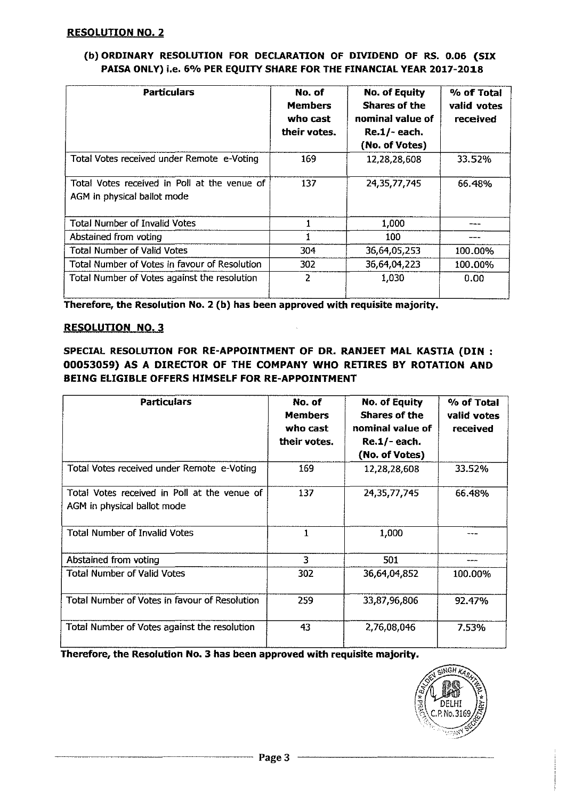## **(b) ORDINARY RESOLUTION FOR DECLARATION OF DIVIDEND OF RS. 0.06 (SIX PAISA ONLY)** i.e. **6% PER EQUITY SHARE FOR THE FINANCIAL YEAR 2017-2018**

| <b>Particulars</b>                                                          | No. of<br><b>Members</b><br>who cast<br>their votes. | No. of Equity<br><b>Shares of the</b><br>nominal value of<br>$Re.1/-$ each.<br>(No. of Votes) | % of Total<br>valid votes<br>received |
|-----------------------------------------------------------------------------|------------------------------------------------------|-----------------------------------------------------------------------------------------------|---------------------------------------|
| Total Votes received under Remote e-Voting                                  | 169                                                  | 12,28,28,608                                                                                  | 33.52%                                |
| Total Votes received in Poll at the venue of<br>AGM in physical ballot mode | 137                                                  | 24, 35, 77, 745                                                                               | 66.48%                                |
| Total Number of Invalid Votes                                               |                                                      | 1,000                                                                                         |                                       |
| Abstained from voting                                                       |                                                      | 100                                                                                           |                                       |
| <b>Total Number of Valid Votes</b>                                          | 304                                                  | 36,64,05,253                                                                                  | 100.00%                               |
| Total Number of Votes in favour of Resolution                               | 302                                                  | 36,64,04,223                                                                                  | 100.00%                               |
| Total Number of Votes against the resolution                                | 2                                                    | 1,030                                                                                         | 0.00                                  |

Therefore, the Resolution No. 2 (b) has been approved with requisite majority.

# **RESOLUTION NO. 3**

# **SPECIAL RESOLUTION FOR RE-APPOINTMENT OF DR. RANJEET MAL KASTIA (DIN 00053059) AS A DIRECTOR OF THE COMPANY WHO RETIRES BY ROTATION AND BEING ELIGIBLE OFFERS HIMSELF FOR RE-APPOINTMENT**

| <b>Particulars</b>                                                          | No. of<br><b>Members</b><br>who cast<br>their votes. | No. of Equity<br><b>Shares of the</b><br>nominal value of<br>Re.1/- each.<br>(No. of Votes) | % of Total<br>valid votes<br>received |
|-----------------------------------------------------------------------------|------------------------------------------------------|---------------------------------------------------------------------------------------------|---------------------------------------|
| Total Votes received under Remote e-Voting                                  | 169                                                  | 12,28,28,608                                                                                | 33.52%                                |
| Total Votes received in Poll at the venue of<br>AGM in physical ballot mode | 137                                                  | 24, 35, 77, 745                                                                             | 66.48%                                |
| <b>Total Number of Invalid Votes</b>                                        | 1                                                    | 1,000                                                                                       |                                       |
| Abstained from voting                                                       | 3                                                    | 501                                                                                         |                                       |
| <b>Total Number of Valid Votes</b>                                          | 302                                                  | 36,64,04,852                                                                                | 100.00%                               |
| Total Number of Votes in favour of Resolution                               | 259                                                  | 33,87,96,806                                                                                | 92.47%                                |
| Total Number of Votes against the resolution                                | 43                                                   | 2,76,08,046                                                                                 | 7.53%                                 |

Therefore, the Resolution No. 3 has been approved with requisite majority.

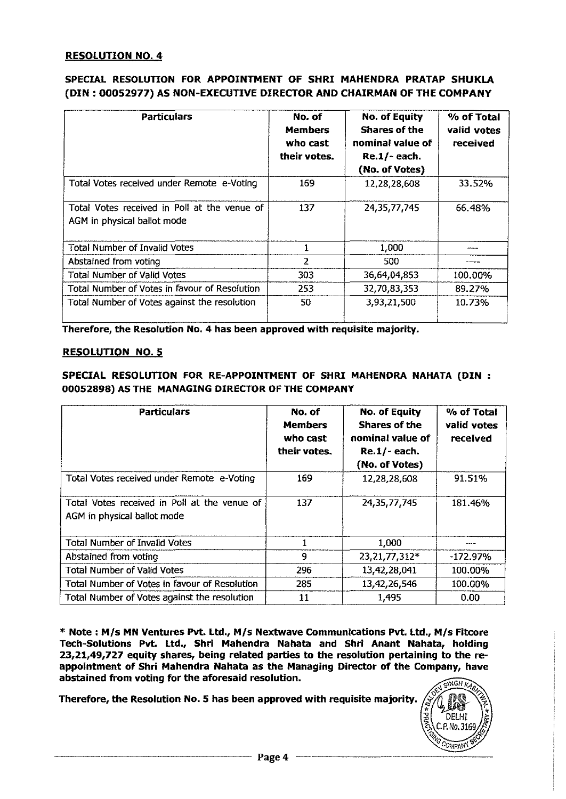### RESOLUTION NO. 4

## SPECIAL RESOLUTION FOR APPOINTMENT OF SHRI MAHENDRA PRATAP SHUKLA (DIN : 00052977) AS NON-EXECUTIVE DIRECTOR AND CHAIRMAN OF THE COMPANY

| <b>Particulars</b>                                                          | No. of<br><b>Members</b><br>who cast<br>their votes. | <b>No. of Equity</b><br><b>Shares of the</b><br>nominal value of<br>$Re.1/-$ each.<br>(No. of Votes) | % of Total<br>valid votes<br>received |
|-----------------------------------------------------------------------------|------------------------------------------------------|------------------------------------------------------------------------------------------------------|---------------------------------------|
| Total Votes received under Remote e-Voting                                  | 169                                                  | 12,28,28,608                                                                                         | 33.52%                                |
| Total Votes received in Poll at the venue of<br>AGM in physical ballot mode | 137                                                  | 24, 35, 77, 745                                                                                      | 66.48%                                |
| <b>Total Number of Invalid Votes</b>                                        |                                                      | 1,000                                                                                                |                                       |
| Abstained from voting                                                       | $\overline{z}$                                       | 500                                                                                                  |                                       |
| <b>Total Number of Valid Votes</b>                                          | 303                                                  | 36,64,04,853                                                                                         | 100.00%                               |
| Total Number of Votes in favour of Resolution                               | 253                                                  | 32,70,83,353                                                                                         | 89.27%                                |
| Total Number of Votes against the resolution                                | 50                                                   | 3,93,21,500                                                                                          | 10.73%                                |

Therefore, the Resolution No. 4 has been approved with requisite majority.

### RESOLUTION NO. 5

## SPECIAL RESOLUTION FOR RE-APPOINTMENT OF SHRI MAHENDRA NAHATA (DIN 00052898) AS THE MANAGING DIRECTOR OF THE COMPANY

| <b>Particulars</b>                                                          | No. of<br><b>Members</b><br>who cast<br>their votes. | <b>No. of Equity</b><br><b>Shares of the</b><br>nominal value of<br>$Re.1/-$ each.<br>(No. of Votes) | % of Total<br>valid votes<br>received |
|-----------------------------------------------------------------------------|------------------------------------------------------|------------------------------------------------------------------------------------------------------|---------------------------------------|
| Total Votes received under Remote e-Voting                                  | 169                                                  | 12,28,28,608                                                                                         | 91.51%                                |
| Total Votes received in Poll at the venue of<br>AGM in physical ballot mode | 137                                                  | 24, 35, 77, 745                                                                                      | 181.46%                               |
| <b>Total Number of Invalid Votes</b>                                        |                                                      | 1,000                                                                                                |                                       |
| Abstained from voting                                                       | 9                                                    | 23, 21, 77, 312*                                                                                     | $-172.97\%$                           |
| <b>Total Number of Valid Votes</b>                                          | 296                                                  | 13,42,28,041                                                                                         | 100.00%                               |
| Total Number of Votes in favour of Resolution                               | 285                                                  | 13,42,26,546                                                                                         | 100.00%                               |
| Total Number of Votes against the resolution                                | 11                                                   | 1,495                                                                                                | 0.00                                  |

\*Note: M/s MN Ventures Pvt. Ltd., M/s Nextwave Communications Pvt. Ltd., M/s Fitcore Tech-Solutions Pvt. Ltd., Shri Mahendra Nahata and Shri Anant Nahata, holding 23,21,49,727 equity shares, being related parties to the resolution pertaining to the reappointment of Shri Mahendra Nahata as the Managing Director of the Company, have abstained from voting for the aforesaid resolution.

Therefore, the Resolution No. 5 has been approved with requisite majority.

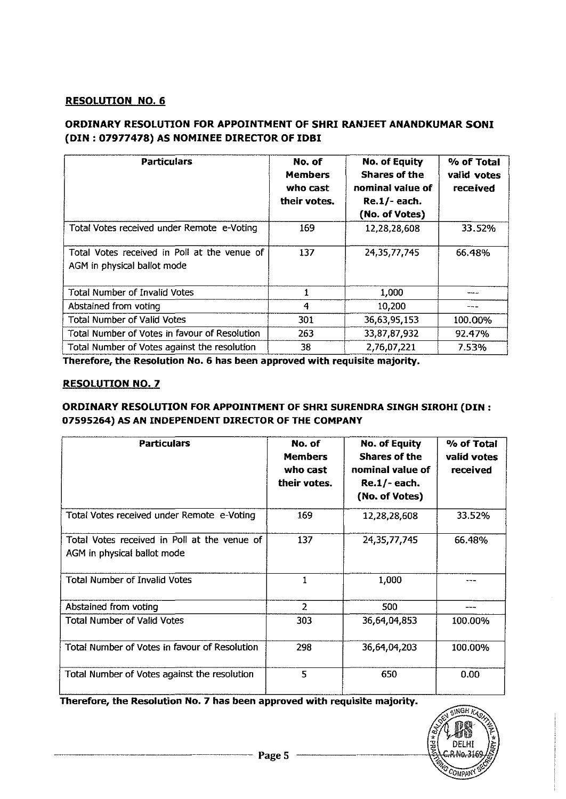## **RESOLUTION NO. 6**

# **ORDINARY RESOLUTION FOR APPOINTMENT OF SHRI RANJEET ANANDKUMAR SONI (DIN : 07977478) AS NOMINEE DIRECTOR OF IDBI**

| <b>Particulars</b>                                                          | No. of<br><b>Members</b><br>who cast<br>their votes. | No. of Equity<br><b>Shares of the</b><br>nominal value of<br>$Re.1/-$ each.<br>(No. of Votes) | % of Total<br>valid votes<br>received |
|-----------------------------------------------------------------------------|------------------------------------------------------|-----------------------------------------------------------------------------------------------|---------------------------------------|
| Total Votes received under Remote e-Voting                                  | 169                                                  | 12,28,28,608                                                                                  | 33.52%                                |
| Total Votes received in Poll at the venue of<br>AGM in physical ballot mode | 137                                                  | 24, 35, 77, 745                                                                               | 66.48%                                |
| <b>Total Number of Invalid Votes</b>                                        |                                                      | 1,000                                                                                         |                                       |
| Abstained from voting                                                       | 4                                                    | 10,200                                                                                        |                                       |
| <b>Total Number of Valid Votes</b>                                          | 301                                                  | 36,63,95,153                                                                                  | 100.00%                               |
| Total Number of Votes in favour of Resolution                               | 263                                                  | 33,87,87,932                                                                                  | 92.47%                                |
| Total Number of Votes against the resolution                                | 38                                                   | 2,76,07,221                                                                                   | 7.53%                                 |
| Therefore, the Resolution No. 6 has been approved with requisite majority.  |                                                      |                                                                                               |                                       |

### **RESOLUTION NO. 7**

### **ORDINARY RESOLUTION FOR APPOINTMENT OF SHRI SURENDRA SINGH SIROHI (DIN** : **07595264) AS AN INDEPENDENT DIRECTOR OF THE COMPANY**

| <b>Particulars</b>                                                          | No. of<br><b>Members</b><br>who cast<br>their votes. | No. of Equity<br><b>Shares of the</b><br>nominal value of<br>$Re.1/-$ each.<br>(No. of Votes) | % of Total<br>valid votes<br>received |
|-----------------------------------------------------------------------------|------------------------------------------------------|-----------------------------------------------------------------------------------------------|---------------------------------------|
| Total Votes received under Remote e-Voting                                  | 169                                                  | 12,28,28,608                                                                                  | 33.52%                                |
| Total Votes received in Poll at the venue of<br>AGM in physical ballot mode | 137                                                  | 24, 35, 77, 745                                                                               | 66.48%                                |
| <b>Total Number of Invalid Votes</b>                                        | 1                                                    | 1,000                                                                                         |                                       |
| Abstained from voting                                                       | $\overline{2}$                                       | 500                                                                                           | ---                                   |
| <b>Total Number of Valid Votes</b>                                          | 303                                                  | 36,64,04,853                                                                                  | 100.00%                               |
| Total Number of Votes in favour of Resolution                               | 298                                                  | 36,64,04,203                                                                                  | 100.00%                               |
| Total Number of Votes against the resolution                                | 5                                                    | 650                                                                                           | 0.00                                  |

Therefore, the Resolution No. 7 has been approved with requisite majority.